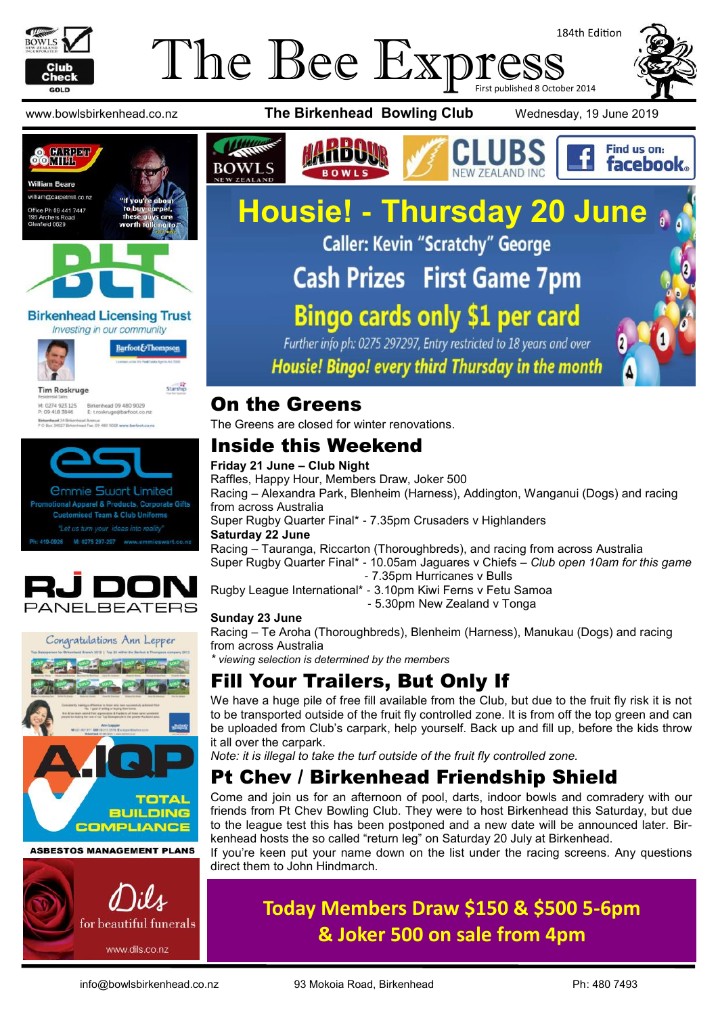

#### The Bee Expres 184th Edition First published 8 October 2014







**Birkenhead Licensing Trust** Investing in our community



Barfoot&Thompson

Starship

**Tim Roskruge** M: 0274 923 125 Birkenhead 09 480 9029<br>P: 09 418 3846 E: troskruge@barfoot.co







#### **ASBESTOS MANAGEMENT PLANS**









## **Housie! - Thursday 20 June Caller: Kevin "Scratchy" George Cash Prizes First Game 7pm Bingo cards only \$1 per card** Further info ph: 0275 297297, Entry restricted to 18 years and over

Housie! Bingo! every third Thursday in the month

#### On the Greens

The Greens are closed for winter renovations.

#### Inside this Weekend

#### **Friday 21 June – Club Night**

Raffles, Happy Hour, Members Draw, Joker 500 Racing – Alexandra Park, Blenheim (Harness), Addington, Wanganui (Dogs) and racing from across Australia Super Rugby Quarter Final\* - 7.35pm Crusaders v Highlanders **Saturday 22 June** Racing – Tauranga, Riccarton (Thoroughbreds), and racing from across Australia Super Rugby Quarter Final\* - 10.05am Jaguares v Chiefs – *Club open 10am for this game* - 7.35pm Hurricanes v Bulls

Rugby League International\* - 3.10pm Kiwi Ferns v Fetu Samoa - 5.30pm New Zealand v Tonga

#### **Sunday 23 June**

Racing – Te Aroha (Thoroughbreds), Blenheim (Harness), Manukau (Dogs) and racing from across Australia

*\* viewing selection is determined by the members*

## Fill Your Trailers, But Only If

We have a huge pile of free fill available from the Club, but due to the fruit fly risk it is not to be transported outside of the fruit fly controlled zone. It is from off the top green and can be uploaded from Club's carpark, help yourself. Back up and fill up, before the kids throw it all over the carpark.

*Note: it is illegal to take the turf outside of the fruit fly controlled zone.*

#### Pt Chev / Birkenhead Friendship Shield

Come and join us for an afternoon of pool, darts, indoor bowls and comradery with our friends from Pt Chev Bowling Club. They were to host Birkenhead this Saturday, but due to the league test this has been postponed and a new date will be announced later. Birkenhead hosts the so called "return leg" on Saturday 20 July at Birkenhead.

If you're keen put your name down on the list under the racing screens. Any questions direct them to John Hindmarch.

## **Today Members Draw \$150 & \$500 5-6pm & Joker 500 on sale from 4pm**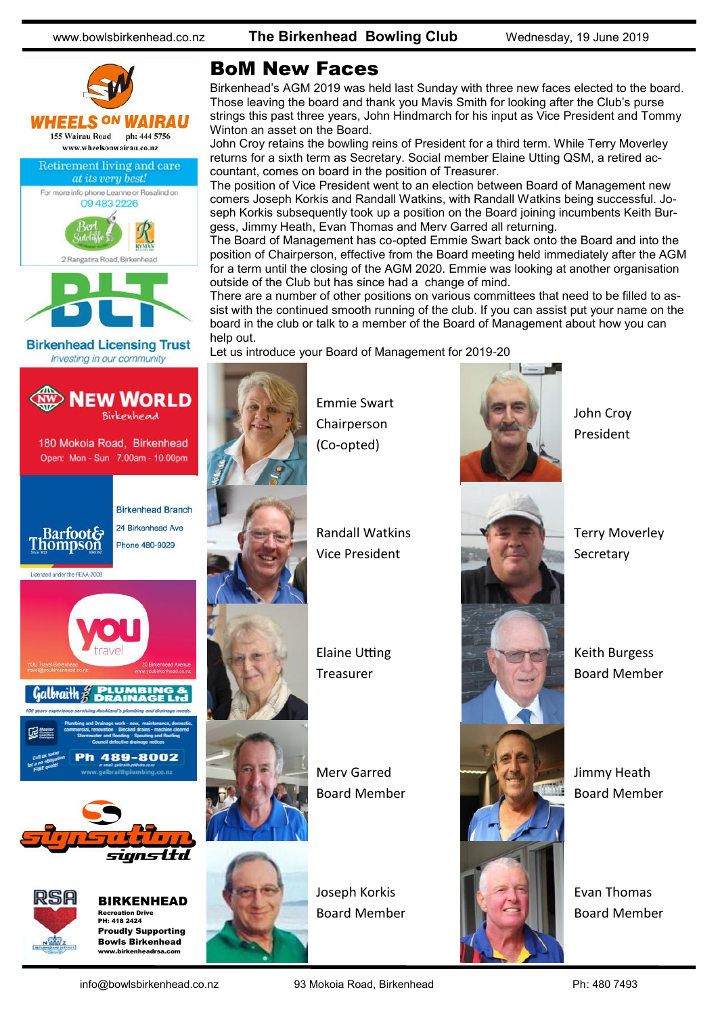www.bowlsbirkenhead.co.nz **The Birkenhead Bowling Club** Wednesday, 19 June 2019



#### BoM New Faces

Birkenhead's AGM 2019 was held last Sunday with three new faces elected to the board. Those leaving the board and thank you Mavis Smith for looking after the Club's purse strings this past three years, John Hindmarch for his input as Vice President and Tommy Winton an asset on the Board.

John Croy retains the bowling reins of President for a third term. While Terry Moverley returns for a sixth term as Secretary. Social member Elaine Utting QSM, a retired accountant, comes on board in the position of Treasurer.

The position of Vice President went to an election between Board of Management new comers Joseph Korkis and Randall Watkins, with Randall Watkins being successful. Joseph Korkis subsequently took up a position on the Board joining incumbents Keith Burgess, Jimmy Heath, Evan Thomas and Merv Garred all returning.

The Board of Management has co-opted Emmie Swart back onto the Board and into the position of Chairperson, effective from the Board meeting held immediately after the AGM for a term until the closing of the AGM 2020. Emmie was looking at another organisation outside of the Club but has since had a change of mind.

There are a number of other positions on various committees that need to be filled to assist with the continued smooth running of the club. If you can assist put your name on the board in the club or talk to a member of the Board of Management about how you can help out.

Let us introduce your Board of Management for 2019-20



Emmie Swart Chairperson (Co-opted)



John Croy President

Terry Moverley **Secretary** 

Keith Burgess Board Member

Jimmy Heath Board Member

Evan Thomas Board Member

Proudly Supporting Bowls Birkenhead www.birkenheadrsa.com

Joseph Korkis Board Member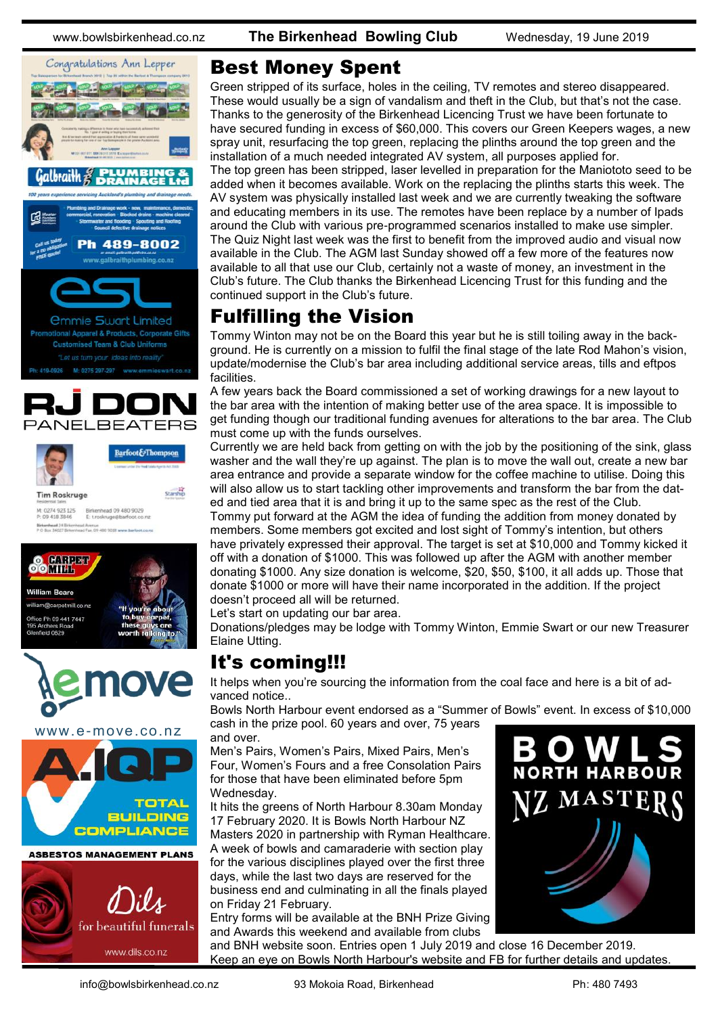





www.e-move.co.nz



![](_page_2_Picture_9.jpeg)

#### Best Money Spent

Green stripped of its surface, holes in the ceiling, TV remotes and stereo disappeared. These would usually be a sign of vandalism and theft in the Club, but that's not the case. Thanks to the generosity of the Birkenhead Licencing Trust we have been fortunate to have secured funding in excess of \$60,000. This covers our Green Keepers wages, a new spray unit, resurfacing the top green, replacing the plinths around the top green and the installation of a much needed integrated AV system, all purposes applied for. The top green has been stripped, laser levelled in preparation for the Maniototo seed to be added when it becomes available. Work on the replacing the plinths starts this week. The AV system was physically installed last week and we are currently tweaking the software and educating members in its use. The remotes have been replace by a number of Ipads around the Club with various pre-programmed scenarios installed to make use simpler. The Quiz Night last week was the first to benefit from the improved audio and visual now available in the Club. The AGM last Sunday showed off a few more of the features now available to all that use our Club, certainly not a waste of money, an investment in the Club's future. The Club thanks the Birkenhead Licencing Trust for this funding and the continued support in the Club's future.

#### Fulfilling the Vision

Tommy Winton may not be on the Board this year but he is still toiling away in the background. He is currently on a mission to fulfil the final stage of the late Rod Mahon's vision, update/modernise the Club's bar area including additional service areas, tills and eftpos facilities.

A few years back the Board commissioned a set of working drawings for a new layout to the bar area with the intention of making better use of the area space. It is impossible to get funding though our traditional funding avenues for alterations to the bar area. The Club must come up with the funds ourselves.

Currently we are held back from getting on with the job by the positioning of the sink, glass washer and the wall they're up against. The plan is to move the wall out, create a new bar area entrance and provide a separate window for the coffee machine to utilise. Doing this will also allow us to start tackling other improvements and transform the bar from the dated and tied area that it is and bring it up to the same spec as the rest of the Club.

Tommy put forward at the AGM the idea of funding the addition from money donated by members. Some members got excited and lost sight of Tommy's intention, but others have privately expressed their approval. The target is set at \$10,000 and Tommy kicked it off with a donation of \$1000. This was followed up after the AGM with another member donating \$1000. Any size donation is welcome, \$20, \$50, \$100, it all adds up. Those that donate \$1000 or more will have their name incorporated in the addition. If the project doesn't proceed all will be returned.

Let's start on updating our bar area.

Donations/pledges may be lodge with Tommy Winton, Emmie Swart or our new Treasurer Elaine Utting.

#### It's coming!!!

It helps when you're sourcing the information from the coal face and here is a bit of advanced notice..

Bowls North Harbour event endorsed as a "Summer of Bowls" event. In excess of \$10,000 cash in the prize pool. 60 years and over, 75 years

and over.

Men's Pairs, Women's Pairs, Mixed Pairs, Men's Four, Women's Fours and a free Consolation Pairs for those that have been eliminated before 5pm Wednesday.

It hits the greens of North Harbour 8.30am Monday 17 February 2020. It is Bowls North Harbour NZ Masters 2020 in partnership with Ryman Healthcare. A week of bowls and camaraderie with section play for the various disciplines played over the first three days, while the last two days are reserved for the business end and culminating in all the finals played on Friday 21 February.

Entry forms will be available at the BNH Prize Giving and Awards this weekend and available from clubs

and BNH website soon. Entries open 1 July 2019 and close 16 December 2019. Keep an eye on Bowls North Harbour's website and FB for further details and updates.

![](_page_2_Picture_27.jpeg)